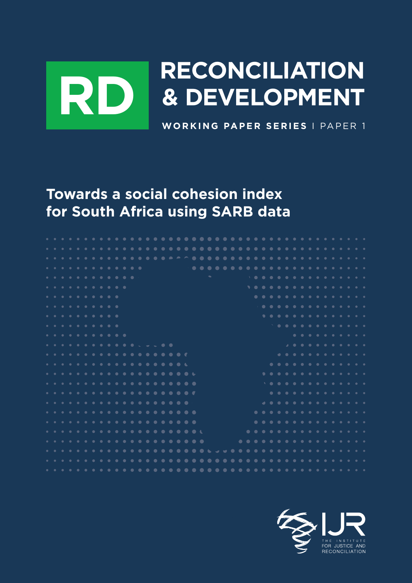# Priorities for mass employment and inclusion **DEVELOPMENT WORKING PAPER SERIES** I PAPER 1 **RECONCILIATION RD & DEVELOPMENT**

TOT SOUTH **Towards a social cohesion index for South Africa using SARB data**

| . <b>.</b> .     |  |  |  |  |  |  |  |  |  |                           |  |  |  |  |  |  |  |  |  |                                                 |  |
|------------------|--|--|--|--|--|--|--|--|--|---------------------------|--|--|--|--|--|--|--|--|--|-------------------------------------------------|--|
| . <b>.</b> .     |  |  |  |  |  |  |  |  |  | $\mathcal{L}(\mathbf{q})$ |  |  |  |  |  |  |  |  |  | $\rightarrow$ 0 0 0 0 0 0 0 0 0 0 0 0 0 0 0 0 0 |  |
| .                |  |  |  |  |  |  |  |  |  |                           |  |  |  |  |  |  |  |  |  | <b>.</b> .                                      |  |
| .                |  |  |  |  |  |  |  |  |  |                           |  |  |  |  |  |  |  |  |  | .                                               |  |
| .                |  |  |  |  |  |  |  |  |  |                           |  |  |  |  |  |  |  |  |  |                                                 |  |
|                  |  |  |  |  |  |  |  |  |  |                           |  |  |  |  |  |  |  |  |  |                                                 |  |
| .                |  |  |  |  |  |  |  |  |  |                           |  |  |  |  |  |  |  |  |  | <b>.</b> .                                      |  |
| .                |  |  |  |  |  |  |  |  |  |                           |  |  |  |  |  |  |  |  |  | $\sim$ 0 0 0 0 0 0 0 0 0 0 0 0 0                |  |
| . <b>.</b>       |  |  |  |  |  |  |  |  |  |                           |  |  |  |  |  |  |  |  |  | .                                               |  |
| . <del>.</del> 0 |  |  |  |  |  |  |  |  |  |                           |  |  |  |  |  |  |  |  |  |                                                 |  |
| . <b>.</b> .     |  |  |  |  |  |  |  |  |  |                           |  |  |  |  |  |  |  |  |  | .                                               |  |
| . <b>.</b> .     |  |  |  |  |  |  |  |  |  |                           |  |  |  |  |  |  |  |  |  | .                                               |  |
| . <b>.</b> .     |  |  |  |  |  |  |  |  |  |                           |  |  |  |  |  |  |  |  |  | <b>.</b> .                                      |  |
|                  |  |  |  |  |  |  |  |  |  |                           |  |  |  |  |  |  |  |  |  |                                                 |  |
|                  |  |  |  |  |  |  |  |  |  |                           |  |  |  |  |  |  |  |  |  | .                                               |  |
| . <b>.</b> .     |  |  |  |  |  |  |  |  |  |                           |  |  |  |  |  |  |  |  |  | .                                               |  |
| . <b>.</b> .     |  |  |  |  |  |  |  |  |  |                           |  |  |  |  |  |  |  |  |  | .                                               |  |
|                  |  |  |  |  |  |  |  |  |  |                           |  |  |  |  |  |  |  |  |  | .                                               |  |
|                  |  |  |  |  |  |  |  |  |  |                           |  |  |  |  |  |  |  |  |  |                                                 |  |
|                  |  |  |  |  |  |  |  |  |  |                           |  |  |  |  |  |  |  |  |  | .                                               |  |
|                  |  |  |  |  |  |  |  |  |  |                           |  |  |  |  |  |  |  |  |  |                                                 |  |
|                  |  |  |  |  |  |  |  |  |  |                           |  |  |  |  |  |  |  |  |  |                                                 |  |
|                  |  |  |  |  |  |  |  |  |  |                           |  |  |  |  |  |  |  |  |  |                                                 |  |
|                  |  |  |  |  |  |  |  |  |  |                           |  |  |  |  |  |  |  |  |  |                                                 |  |

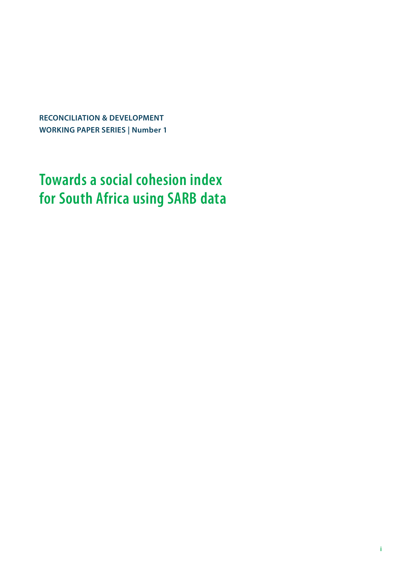**RECONCILIATION & DEVELOPMENT WORKING PAPER SERIES | Number 1**

# **Towards a social cohesion index for South Africa using SARB data**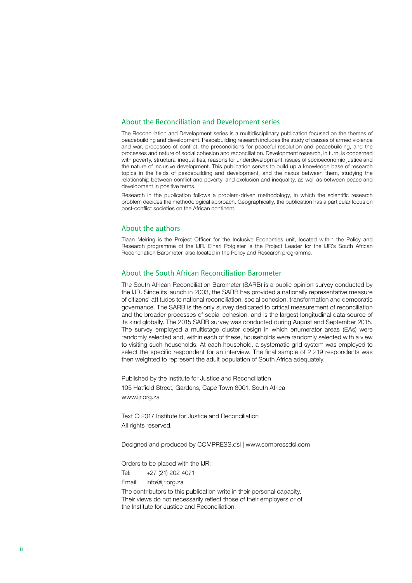#### About the Reconciliation and Development series

The Reconciliation and Development series is a multidisciplinary publication focused on the themes of peacebuilding and development. Peacebuilding research includes the study of causes of armed violence and war, processes of conflict, the preconditions for peaceful resolution and peacebuilding, and the processes and nature of social cohesion and reconciliation. Development research, in turn, is concerned with poverty, structural inequalities, reasons for underdevelopment, issues of socioeconomic justice and the nature of inclusive development. This publication serves to build up a knowledge base of research topics in the fields of peacebuilding and development, and the nexus between them, studying the relationship between conflict and poverty, and exclusion and inequality, as well as between peace and development in positive terms.

Research in the publication follows a problem-driven methodology, in which the scientific research problem decides the methodological approach. Geographically, the publication has a particular focus on post-conflict societies on the African continent.

#### About the authors

Tiaan Meiring is the Project Officer for the Inclusive Economies unit, located within the Policy and Research programme of the IJR. Elnari Potgieter is the Project Leader for the IJR's South African Reconciliation Barometer, also located in the Policy and Research programme.

#### About the South African Reconciliation Barometer

The South African Reconciliation Barometer (SARB) is a public opinion survey conducted by the IJR. Since its launch in 2003, the SARB has provided a nationally representative measure of citizens' attitudes to national reconciliation, social cohesion, transformation and democratic governance. The SARB is the only survey dedicated to critical measurement of reconciliation and the broader processes of social cohesion, and is the largest longitudinal data source of its kind globally. The 2015 SARB survey was conducted during August and September 2015. The survey employed a multistage cluster design in which enumerator areas (EAs) were randomly selected and, within each of these, households were randomly selected with a view to visiting such households. At each household, a systematic grid system was employed to select the specific respondent for an interview. The final sample of 2 219 respondents was then weighted to represent the adult population of South Africa adequately.

Published by the Institute for Justice and Reconciliation 105 Hatfield Street, Gardens, Cape Town 8001, South Africa www.ijr.org.za

Text © 2017 Institute for Justice and Reconciliation All rights reserved.

Designed and produced by COMPRESS.dsl | www.compressdsl.com

Orders to be placed with the IJR:

Tel: +27 (21) 202 4071

Email: info@ijr.org.za

The contributors to this publication write in their personal capacity. Their views do not necessarily reflect those of their employers or of the Institute for Justice and Reconciliation.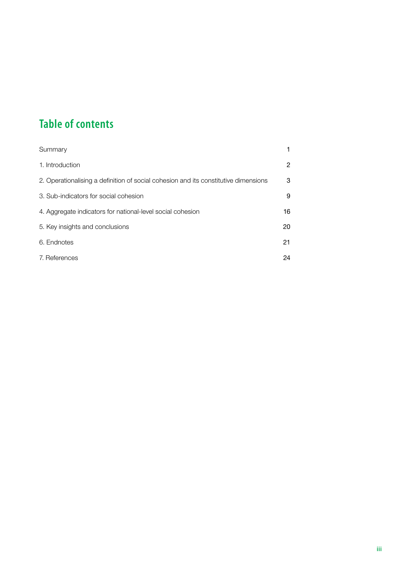## **Table of contents**

| Summary                                                                             |    |
|-------------------------------------------------------------------------------------|----|
| 1. Introduction                                                                     | 2  |
| 2. Operationalising a definition of social cohesion and its constitutive dimensions | 3  |
| 3. Sub-indicators for social cohesion                                               | 9  |
| 4. Aggregate indicators for national-level social cohesion                          | 16 |
| 5. Key insights and conclusions                                                     | 20 |
| 6. Endnotes                                                                         | 21 |
| 7. References                                                                       | 24 |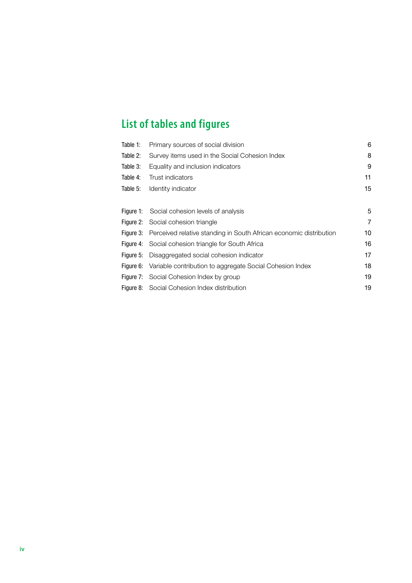## **List of tables and figures**

| Table 1:  | Primary sources of social division                                           | 6              |
|-----------|------------------------------------------------------------------------------|----------------|
| Table 2:  | Survey items used in the Social Cohesion Index                               | 8              |
| Table 3:  | Equality and inclusion indicators                                            | 9              |
| Table 4:  | Trust indicators                                                             | 11             |
| Table 5:  | Identity indicator                                                           | 15             |
|           |                                                                              |                |
|           | Figure 1: Social cohesion levels of analysis                                 | 5              |
|           | Figure 2: Social cohesion triangle                                           | $\overline{7}$ |
|           | Figure 3: Perceived relative standing in South African economic distribution | 10             |
|           | Figure 4: Social cohesion triangle for South Africa                          | 16             |
| Figure 5: | Disaggregated social cohesion indicator                                      | 17             |
|           | Figure 6: Variable contribution to aggregate Social Cohesion Index           | 18             |
|           | <b>Figure 7:</b> Social Cohesion Index by group                              | 19             |
|           | Figure 8: Social Cohesion Index distribution                                 | 19             |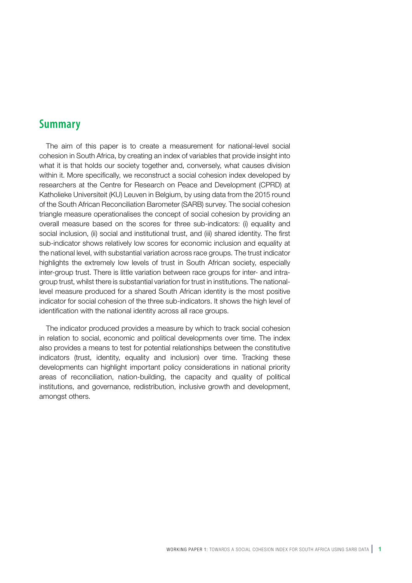### **Summary**

The aim of this paper is to create a measurement for national-level social cohesion in South Africa, by creating an index of variables that provide insight into what it is that holds our society together and, conversely, what causes division within it. More specifically, we reconstruct a social cohesion index developed by researchers at the Centre for Research on Peace and Development (CPRD) at Katholieke Universiteit (KU) Leuven in Belgium, by using data from the 2015 round of the South African Reconciliation Barometer (SARB) survey. The social cohesion triangle measure operationalises the concept of social cohesion by providing an overall measure based on the scores for three sub-indicators: (i) equality and social inclusion, (ii) social and institutional trust, and (iii) shared identity. The first sub-indicator shows relatively low scores for economic inclusion and equality at the national level, with substantial variation across race groups. The trust indicator highlights the extremely low levels of trust in South African society, especially inter-group trust. There is little variation between race groups for inter- and intragroup trust, whilst there is substantial variation for trust in institutions. The nationallevel measure produced for a shared South African identity is the most positive indicator for social cohesion of the three sub-indicators. It shows the high level of identification with the national identity across all race groups.

The indicator produced provides a measure by which to track social cohesion in relation to social, economic and political developments over time. The index also provides a means to test for potential relationships between the constitutive indicators (trust, identity, equality and inclusion) over time. Tracking these developments can highlight important policy considerations in national priority areas of reconciliation, nation-building, the capacity and quality of political institutions, and governance, redistribution, inclusive growth and development, amongst others.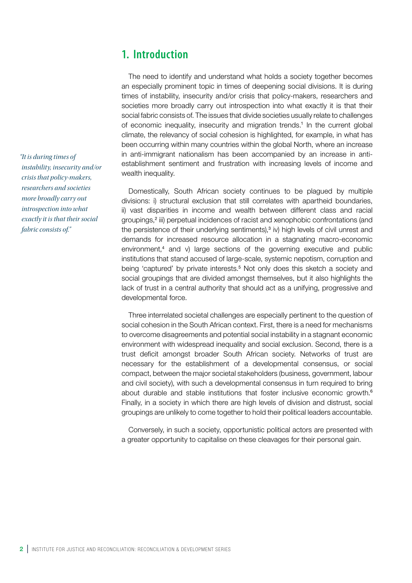## **1. Introduction**

The need to identify and understand what holds a society together becomes an especially prominent topic in times of deepening social divisions. It is during times of instability, insecurity and/or crisis that policy-makers, researchers and societies more broadly carry out introspection into what exactly it is that their social fabric consists of. The issues that divide societies usually relate to challenges of economic inequality, insecurity and migration trends.<sup>1</sup> In the current global climate, the relevancy of social cohesion is highlighted, for example, in what has been occurring within many countries within the global North, where an increase in anti-immigrant nationalism has been accompanied by an increase in antiestablishment sentiment and frustration with increasing levels of income and wealth inequality.

Domestically, South African society continues to be plagued by multiple divisions: i) structural exclusion that still correlates with apartheid boundaries, ii) vast disparities in income and wealth between different class and racial groupings,<sup>2</sup> iii) perpetual incidences of racist and xenophobic confrontations (and the persistence of their underlying sentiments),<sup>3</sup> iv) high levels of civil unrest and demands for increased resource allocation in a stagnating macro-economic environment,<sup>4</sup> and v) large sections of the governing executive and public institutions that stand accused of large-scale, systemic nepotism, corruption and being 'captured' by private interests.<sup>5</sup> Not only does this sketch a society and social groupings that are divided amongst themselves, but it also highlights the lack of trust in a central authority that should act as a unifying, progressive and developmental force.

Three interrelated societal challenges are especially pertinent to the question of social cohesion in the South African context. First, there is a need for mechanisms to overcome disagreements and potential social instability in a stagnant economic environment with widespread inequality and social exclusion. Second, there is a trust deficit amongst broader South African society. Networks of trust are necessary for the establishment of a developmental consensus, or social compact, between the major societal stakeholders (business, government, labour and civil society), with such a developmental consensus in turn required to bring about durable and stable institutions that foster inclusive economic growth.<sup>6</sup> Finally, in a society in which there are high levels of division and distrust, social groupings are unlikely to come together to hold their political leaders accountable.

Conversely, in such a society, opportunistic political actors are presented with a greater opportunity to capitalise on these cleavages for their personal gain.

*"It is during times of instability, insecurity and/or crisis that policy-makers, researchers and societies more broadly carry out introspection into what exactly it is that their social fabric consists of."*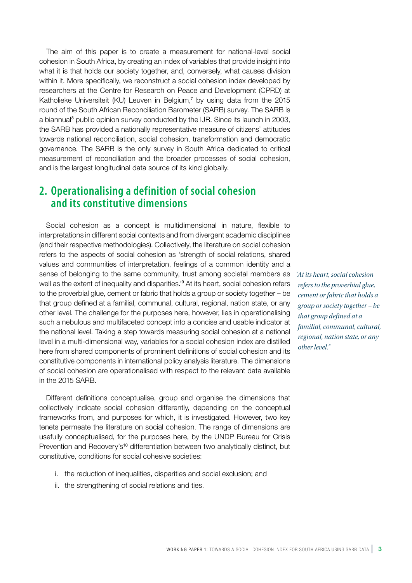The aim of this paper is to create a measurement for national-level social cohesion in South Africa, by creating an index of variables that provide insight into what it is that holds our society together, and, conversely, what causes division within it. More specifically, we reconstruct a social cohesion index developed by researchers at the Centre for Research on Peace and Development (CPRD) at Katholieke Universiteit (KU) Leuven in Belgium,<sup>7</sup> by using data from the 2015 round of the South African Reconciliation Barometer (SARB) survey. The SARB is a biannual<sup>8</sup> public opinion survey conducted by the IJR. Since its launch in 2003, the SARB has provided a nationally representative measure of citizens' attitudes towards national reconciliation, social cohesion, transformation and democratic governance. The SARB is the only survey in South Africa dedicated to critical measurement of reconciliation and the broader processes of social cohesion, and is the largest longitudinal data source of its kind globally.

## **2. Operationalising a definition of social cohesion and its constitutive dimensions**

Social cohesion as a concept is multidimensional in nature, flexible to interpretations in different social contexts and from divergent academic disciplines (and their respective methodologies). Collectively, the literature on social cohesion refers to the aspects of social cohesion as 'strength of social relations, shared values and communities of interpretation, feelings of a common identity and a sense of belonging to the same community, trust among societal members as well as the extent of inequality and disparities.'<sup>9</sup> At its heart, social cohesion refers to the proverbial glue, cement or fabric that holds a group or society together – be that group defined at a familial, communal, cultural, regional, nation state, or any other level. The challenge for the purposes here, however, lies in operationalising such a nebulous and multifaceted concept into a concise and usable indicator at the national level. Taking a step towards measuring social cohesion at a national level in a multi-dimensional way, variables for a social cohesion index are distilled here from shared components of prominent definitions of social cohesion and its constitutive components in international policy analysis literature. The dimensions of social cohesion are operationalised with respect to the relevant data available in the 2015 SARB.

Different definitions conceptualise, group and organise the dimensions that collectively indicate social cohesion differently, depending on the conceptual frameworks from, and purposes for which, it is investigated. However, two key tenets permeate the literature on social cohesion. The range of dimensions are usefully conceptualised, for the purposes here, by the UNDP Bureau for Crisis Prevention and Recovery's<sup>10</sup> differentiation between two analytically distinct, but constitutive, conditions for social cohesive societies:

- i. the reduction of inequalities, disparities and social exclusion; and
- ii. the strengthening of social relations and ties.

*"At its heart, social cohesion refers to the proverbial glue, cement or fabric that holds a group or society together – be that group defined at a familial, communal, cultural, regional, nation state, or any other level."*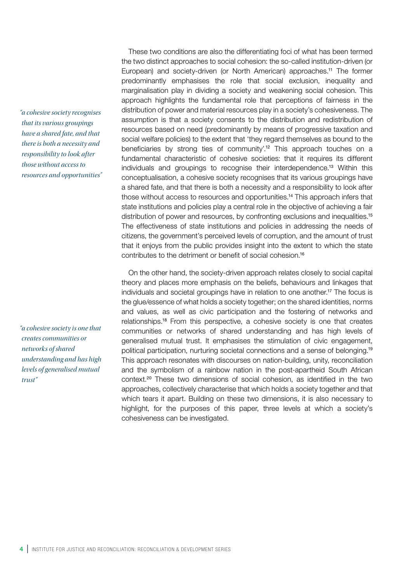*"a cohesive society recognises that its various groupings have a shared fate, and that there is both a necessity and responsibility to look after those without access to resources and opportunities"*

*"a cohesive society is one that creates communities or networks of shared understanding and has high levels of generalised mutual trust"*

These two conditions are also the differentiating foci of what has been termed the two distinct approaches to social cohesion: the so-called institution-driven (or European) and society-driven (or North American) approaches.<sup>11</sup> The former predominantly emphasises the role that social exclusion, inequality and marginalisation play in dividing a society and weakening social cohesion. This approach highlights the fundamental role that perceptions of fairness in the distribution of power and material resources play in a society's cohesiveness. The assumption is that a society consents to the distribution and redistribution of resources based on need (predominantly by means of progressive taxation and social welfare policies) to the extent that 'they regard themselves as bound to the beneficiaries by strong ties of community'.<sup>12</sup> This approach touches on a fundamental characteristic of cohesive societies: that it requires its different individuals and groupings to recognise their interdependence.13 Within this conceptualisation, a cohesive society recognises that its various groupings have a shared fate, and that there is both a necessity and a responsibility to look after those without access to resources and opportunities.14 This approach infers that state institutions and policies play a central role in the objective of achieving a fair distribution of power and resources, by confronting exclusions and inequalities.<sup>15</sup> The effectiveness of state institutions and policies in addressing the needs of citizens, the government's perceived levels of corruption, and the amount of trust that it enjoys from the public provides insight into the extent to which the state contributes to the detriment or benefit of social cohesion.<sup>16</sup>

On the other hand, the society-driven approach relates closely to social capital theory and places more emphasis on the beliefs, behaviours and linkages that individuals and societal groupings have in relation to one another.17 The focus is the glue/essence of what holds a society together; on the shared identities, norms and values, as well as civic participation and the fostering of networks and relationships.18 From this perspective, a cohesive society is one that creates communities or networks of shared understanding and has high levels of generalised mutual trust. It emphasises the stimulation of civic engagement, political participation, nurturing societal connections and a sense of belonging.<sup>19</sup> This approach resonates with discourses on nation-building, unity, reconciliation and the symbolism of a rainbow nation in the post-apartheid South African context.20 These two dimensions of social cohesion, as identified in the two approaches, collectively characterise that which holds a society together and that which tears it apart. Building on these two dimensions, it is also necessary to highlight, for the purposes of this paper, three levels at which a society's cohesiveness can be investigated.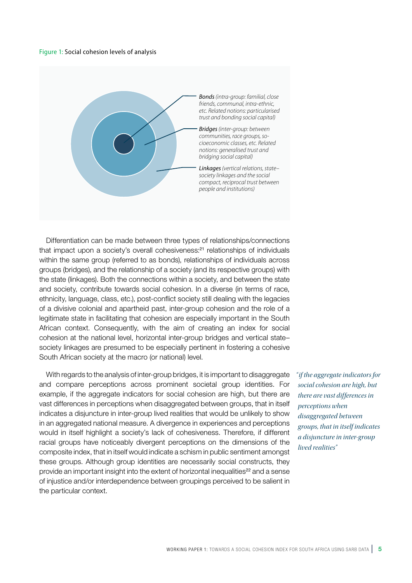#### Figure 1: Social cohesion levels of analysis



Differentiation can be made between three types of relationships/connections that impact upon a society's overall cohesiveness:<sup>21</sup> relationships of individuals within the same group (referred to as bonds), relationships of individuals across groups (bridges), and the relationship of a society (and its respective groups) with the state (linkages). Both the connections within a society, and between the state and society, contribute towards social cohesion. In a diverse (in terms of race, ethnicity, language, class, etc.), post-conflict society still dealing with the legacies of a divisive colonial and apartheid past, inter-group cohesion and the role of a legitimate state in facilitating that cohesion are especially important in the South African context. Consequently, with the aim of creating an index for social cohesion at the national level, horizontal inter-group bridges and vertical state– society linkages are presumed to be especially pertinent in fostering a cohesive South African society at the macro (or national) level.

With regards to the analysis of inter-group bridges, it is important to disaggregate and compare perceptions across prominent societal group identities. For example, if the aggregate indicators for social cohesion are high, but there are vast differences in perceptions when disaggregated between groups, that in itself indicates a disjuncture in inter-group lived realities that would be unlikely to show in an aggregated national measure. A divergence in experiences and perceptions would in itself highlight a society's lack of cohesiveness. Therefore, if different racial groups have noticeably divergent perceptions on the dimensions of the composite index, that in itself would indicate a schism in public sentiment amongst these groups. Although group identities are necessarily social constructs, they provide an important insight into the extent of horizontal inequalities<sup>22</sup> and a sense of injustice and/or interdependence between groupings perceived to be salient in the particular context.

*" if the aggregate indicators for social cohesion are high, but there are vast differences in perceptions when disaggregated between groups, that in itself indicates a disjuncture in inter-group lived realities"*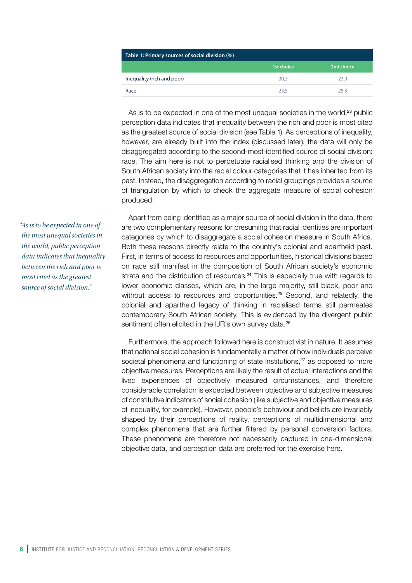| Table 1: Primary sources of social division (%) |            |            |  |  |  |  |
|-------------------------------------------------|------------|------------|--|--|--|--|
|                                                 | 1st choice | 2nd choice |  |  |  |  |
| Inequality (rich and poor)                      | 30.3       | 23.9       |  |  |  |  |
| Race                                            | 235        | 253        |  |  |  |  |

As is to be expected in one of the most unequal societies in the world.<sup>23</sup> public perception data indicates that inequality between the rich and poor is most cited as the greatest source of social division (see Table 1). As perceptions of inequality, however, are already built into the index (discussed later), the data will only be disaggregated according to the second-most-identified source of social division: race. The aim here is not to perpetuate racialised thinking and the division of South African society into the racial colour categories that it has inherited from its past. Instead, the disaggregation according to racial groupings provides a source of triangulation by which to check the aggregate measure of social cohesion produced.

Apart from being identified as a major source of social division in the data, there are two complementary reasons for presuming that racial identities are important categories by which to disaggregate a social cohesion measure in South Africa. Both these reasons directly relate to the country's colonial and apartheid past. First, in terms of access to resources and opportunities, historical divisions based on race still manifest in the composition of South African society's economic strata and the distribution of resources. $24$  This is especially true with regards to lower economic classes, which are, in the large majority, still black, poor and without access to resources and opportunities.<sup>25</sup> Second, and relatedly, the colonial and apartheid legacy of thinking in racialised terms still permeates contemporary South African society. This is evidenced by the divergent public sentiment often elicited in the IJR's own survey data.<sup>26</sup>

Furthermore, the approach followed here is constructivist in nature. It assumes that national social cohesion is fundamentally a matter of how individuals perceive societal phenomena and functioning of state institutions,<sup>27</sup> as opposed to more objective measures. Perceptions are likely the result of actual interactions and the lived experiences of objectively measured circumstances, and therefore considerable correlation is expected between objective and subjective measures of constitutive indicators of social cohesion (like subjective and objective measures of inequality, for example). However, people's behaviour and beliefs are invariably shaped by their perceptions of reality, perceptions of multidimensional and complex phenomena that are further filtered by personal conversion factors. These phenomena are therefore not necessarily captured in one-dimensional objective data, and perception data are preferred for the exercise here.

*"As is to be expected in one of the most unequal societies in the world, public perception data indicates that inequality between the rich and poor is most cited as the greatest source of social division."*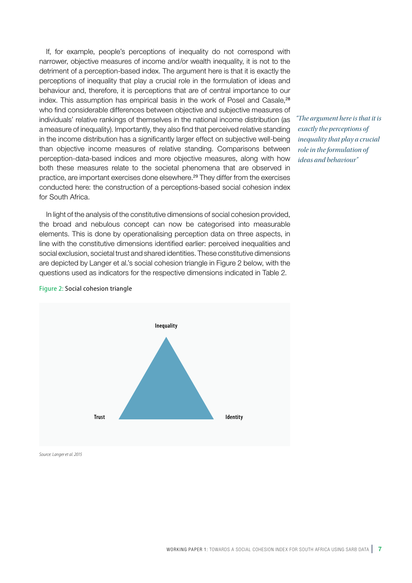If, for example, people's perceptions of inequality do not correspond with narrower, objective measures of income and/or wealth inequality, it is not to the detriment of a perception-based index. The argument here is that it is exactly the perceptions of inequality that play a crucial role in the formulation of ideas and behaviour and, therefore, it is perceptions that are of central importance to our index. This assumption has empirical basis in the work of Posel and Casale,<sup>28</sup> who find considerable differences between objective and subjective measures of individuals' relative rankings of themselves in the national income distribution (as a measure of inequality). Importantly, they also find that perceived relative standing in the income distribution has a significantly larger effect on subjective well-being than objective income measures of relative standing. Comparisons between perception-data-based indices and more objective measures, along with how both these measures relate to the societal phenomena that are observed in practice, are important exercises done elsewhere.29 They differ from the exercises conducted here: the construction of a perceptions-based social cohesion index for South Africa.

In light of the analysis of the constitutive dimensions of social cohesion provided, the broad and nebulous concept can now be categorised into measurable elements. This is done by operationalising perception data on three aspects, in line with the constitutive dimensions identified earlier: perceived inequalities and social exclusion, societal trust and shared identities. These constitutive dimensions are depicted by Langer et al.'s social cohesion triangle in Figure 2 below, with the questions used as indicators for the respective dimensions indicated in Table 2.

*"The argument here is that it is exactly the perceptions of inequality that play a crucial role in the formulation of ideas and behaviour"*



#### Figure 2: Social cohesion triangle

*Source: Langer et al. 2015*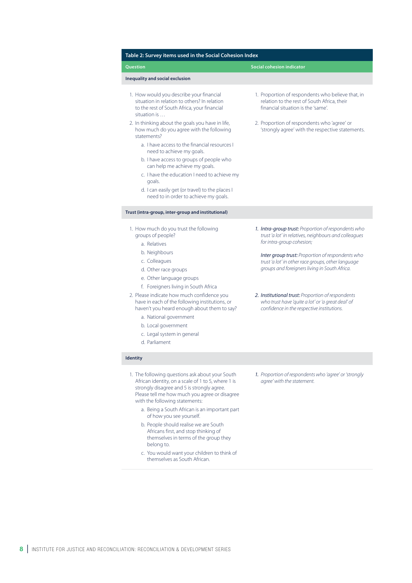| <b>Question</b>                                                                                                                                                                                                                             | <b>Social cohesion indicator</b>                                                                                                                       |
|---------------------------------------------------------------------------------------------------------------------------------------------------------------------------------------------------------------------------------------------|--------------------------------------------------------------------------------------------------------------------------------------------------------|
| Inequality and social exclusion                                                                                                                                                                                                             |                                                                                                                                                        |
| 1. How would you describe your financial<br>situation in relation to others? In relation<br>to the rest of South Africa, your financial<br>situation is                                                                                     | 1. Proportion of respondents who believe that, in<br>relation to the rest of South Africa, their<br>financial situation is the 'same'.                 |
| 2. In thinking about the goals you have in life,<br>how much do you agree with the following<br>statements?                                                                                                                                 | 2. Proportion of respondents who 'agree' or<br>'strongly agree' with the respective statements.                                                        |
| a. Thave access to the financial resources L<br>need to achieve my goals.                                                                                                                                                                   |                                                                                                                                                        |
| b. I have access to groups of people who<br>can help me achieve my goals.                                                                                                                                                                   |                                                                                                                                                        |
| c. I have the education I need to achieve my<br>goals.                                                                                                                                                                                      |                                                                                                                                                        |
| d. I can easily get (or travel) to the places I<br>need to in order to achieve my goals.                                                                                                                                                    |                                                                                                                                                        |
| Trust (intra-group, inter-group and institutional)                                                                                                                                                                                          |                                                                                                                                                        |
| 1. How much do you trust the following<br>groups of people?<br>a. Relatives                                                                                                                                                                 | 1. Intra-group trust: Proportion of respondents who<br>trust'a lot' in relatives, neighbours and colleagues<br>for intra-group cohesion;               |
| b. Neighbours<br>c. Colleagues<br>d. Other race groups<br>e. Other language groups                                                                                                                                                          | Inter group trust: Proportion of respondents who<br>trust'a lot' in other race groups, other language<br>groups and foreigners living in South Africa. |
| f. Foreigners living in South Africa                                                                                                                                                                                                        |                                                                                                                                                        |
| 2. Please indicate how much confidence you<br>have in each of the following institutions, or<br>haven't you heard enough about them to say?<br>a. National government<br>b. Local government<br>c. Legal system in general<br>d. Parliament | 2. Institutional trust: Proportion of respondents<br>who trust have 'quite a lot' or 'a great deal' of<br>confidence in the respective institutions.   |
| <b>Identity</b>                                                                                                                                                                                                                             |                                                                                                                                                        |
| 1. The following questions ask about your South<br>African identity, on a scale of 1 to 5, where 1 is<br>strongly disagree and 5 is strongly agree.<br>Please tell me how much you agree or disagree<br>with the following statements:      | 1. Proportion of respondents who 'agree' or 'strongly<br>agree' with the statement.                                                                    |
| a. Being a South African is an important part<br>of how you see yourself.                                                                                                                                                                   |                                                                                                                                                        |
| b. People should realise we are South<br>Africans first, and stop thinking of<br>themselves in terms of the group they<br>belong to.                                                                                                        |                                                                                                                                                        |
| c. You would want your children to think of<br>themselves as South African.                                                                                                                                                                 |                                                                                                                                                        |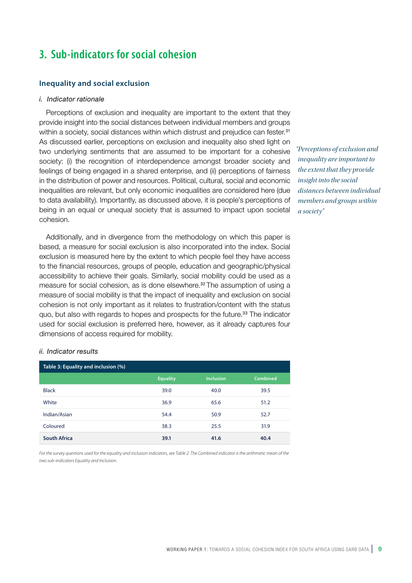## **3. Sub-indicators for social cohesion**

#### **Inequality and social exclusion**

#### *i. Indicator rationale*

Perceptions of exclusion and inequality are important to the extent that they provide insight into the social distances between individual members and groups within a society, social distances within which distrust and prejudice can fester.<sup>31</sup> As discussed earlier, perceptions on exclusion and inequality also shed light on two underlying sentiments that are assumed to be important for a cohesive society: (i) the recognition of interdependence amongst broader society and feelings of being engaged in a shared enterprise, and (ii) perceptions of fairness in the distribution of power and resources. Political, cultural, social and economic inequalities are relevant, but only economic inequalities are considered here (due to data availability). Importantly, as discussed above, it is people's perceptions of being in an equal or unequal society that is assumed to impact upon societal cohesion.

Additionally, and in divergence from the methodology on which this paper is based, a measure for social exclusion is also incorporated into the index. Social exclusion is measured here by the extent to which people feel they have access to the financial resources, groups of people, education and geographic/physical accessibility to achieve their goals. Similarly, social mobility could be used as a measure for social cohesion, as is done elsewhere.<sup>32</sup> The assumption of using a measure of social mobility is that the impact of inequality and exclusion on social cohesion is not only important as it relates to frustration/content with the status quo, but also with regards to hopes and prospects for the future.<sup>33</sup> The indicator used for social exclusion is preferred here, however, as it already captures four dimensions of access required for mobility.

### *"Perceptions of exclusion and inequality are important to the extent that they provide insight into the social distances between individual members and groups within a society"*

#### *ii. Indicator results*

| Table 3: Equality and inclusion (%) |                 |                  |          |  |  |  |  |  |
|-------------------------------------|-----------------|------------------|----------|--|--|--|--|--|
|                                     | <b>Equality</b> | <b>Inclusion</b> | Combined |  |  |  |  |  |
| <b>Black</b>                        | 39.0            | 40.0             | 39.5     |  |  |  |  |  |
| White                               | 36.9            | 65.6             | 51.2     |  |  |  |  |  |
| Indian/Asian                        | 54.4            | 50.9             | 52.7     |  |  |  |  |  |
| Coloured                            | 38.3            | 25.5             | 31.9     |  |  |  |  |  |
| <b>South Africa</b>                 | 39.1            | 41.6             | 40.4     |  |  |  |  |  |

*For the survey questions used for the equality and inclusion indicators, see Table 2. The Combined indicator is the arithmetic mean of the two sub-indicators Equality and Inclusion.*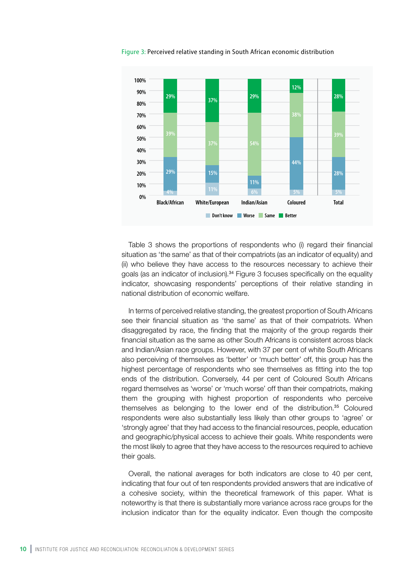

Figure 3: Perceived relative standing in South African economic distribution

Table 3 shows the proportions of respondents who (i) regard their financial situation as 'the same' as that of their compatriots (as an indicator of equality) and (ii) who believe they have access to the resources necessary to achieve their goals (as an indicator of inclusion).<sup>34</sup> Figure 3 focuses specifically on the equality indicator, showcasing respondents' perceptions of their relative standing in national distribution of economic welfare.

In terms of perceived relative standing, the greatest proportion of South Africans see their financial situation as 'the same' as that of their compatriots. When disaggregated by race, the finding that the majority of the group regards their financial situation as the same as other South Africans is consistent across black and Indian/Asian race groups. However, with 37 per cent of white South Africans also perceiving of themselves as 'better' or 'much better' off, this group has the highest percentage of respondents who see themselves as fitting into the top ends of the distribution. Conversely, 44 per cent of Coloured South Africans regard themselves as 'worse' or 'much worse' off than their compatriots, making them the grouping with highest proportion of respondents who perceive themselves as belonging to the lower end of the distribution.35 Coloured respondents were also substantially less likely than other groups to 'agree' or 'strongly agree' that they had access to the financial resources, people, education and geographic/physical access to achieve their goals. White respondents were the most likely to agree that they have access to the resources required to achieve their goals.

Overall, the national averages for both indicators are close to 40 per cent, indicating that four out of ten respondents provided answers that are indicative of a cohesive society, within the theoretical framework of this paper. What is noteworthy is that there is substantially more variance across race groups for the inclusion indicator than for the equality indicator. Even though the composite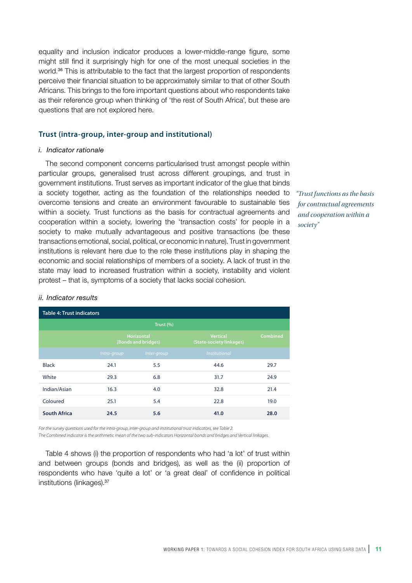equality and inclusion indicator produces a lower-middle-range figure, some might still find it surprisingly high for one of the most unequal societies in the world.<sup>36</sup> This is attributable to the fact that the largest proportion of respondents perceive their financial situation to be approximately similar to that of other South Africans. This brings to the fore important questions about who respondents take as their reference group when thinking of 'the rest of South Africa', but these are questions that are not explored here.

#### **Trust (intra-group, inter-group and institutional)**

#### *i. Indicator rationale*

The second component concerns particularised trust amongst people within particular groups, generalised trust across different groupings, and trust in government institutions. Trust serves as important indicator of the glue that binds a society together, acting as the foundation of the relationships needed to overcome tensions and create an environment favourable to sustainable ties within a society. Trust functions as the basis for contractual agreements and cooperation within a society, lowering the 'transaction costs' for people in a society to make mutually advantageous and positive transactions (be these transactions emotional, social, political, or economic in nature). Trust in government institutions is relevant here due to the role these institutions play in shaping the economic and social relationships of members of a society. A lack of trust in the state may lead to increased frustration within a society, instability and violent protest – that is, symptoms of a society that lacks social cohesion.

*"Trust functions as the basis for contractual agreements and cooperation within a society"*

## *ii. Indicator results*

| <b>Table 4: Trust indicators</b> |             |                                          |                                      |          |  |  |  |  |
|----------------------------------|-------------|------------------------------------------|--------------------------------------|----------|--|--|--|--|
| Trust (%)                        |             |                                          |                                      |          |  |  |  |  |
|                                  |             | <b>Horizontal</b><br>(Bonds and bridges) | Vertical<br>(State-society linkages) | Combined |  |  |  |  |
|                                  | Intra-group | Inter-group                              | Institutional                        |          |  |  |  |  |
| <b>Black</b>                     | 24.1        | 5.5                                      | 44.6                                 | 29.7     |  |  |  |  |
| White                            | 29.3        | 6.8                                      | 31.7                                 | 24.9     |  |  |  |  |
| Indian/Asian                     | 16.3        | 4.0                                      | 32.8                                 | 21.4     |  |  |  |  |
| Coloured                         | 25.1        | 5.4                                      | 22.8                                 | 19.0     |  |  |  |  |
| <b>South Africa</b>              | 24.5        | 5.6                                      | 41.0                                 | 28.0     |  |  |  |  |

*For the survey questions used for the intra-group, inter-group and institutional trust indicators, see Table 2.* 

*The Combined indicator is the arithmetic mean of the two sub-indicators Horizontal bonds and bridges and Vertical linkages.*

Table 4 shows (i) the proportion of respondents who had 'a lot' of trust within and between groups (bonds and bridges), as well as the (ii) proportion of respondents who have 'quite a lot' or 'a great deal' of confidence in political institutions (linkages).<sup>37</sup>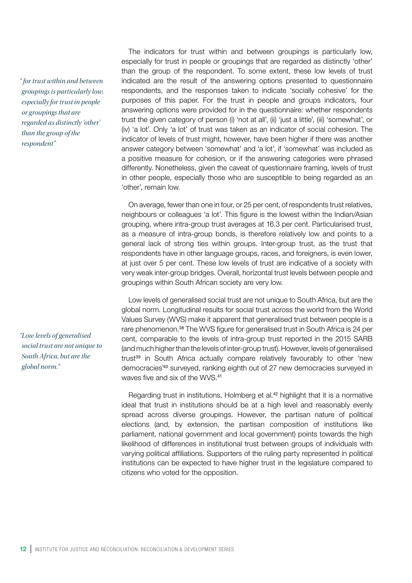*" for trust within and between groupings is particularly low, especially for trust in people or groupings that are regarded as distinctly 'other' than the group of the respondent"*

*"Low levels of generalised social trust are not unique to South Africa, but are the global norm."*

The indicators for trust within and between groupings is particularly low, especially for trust in people or groupings that are regarded as distinctly 'other' than the group of the respondent. To some extent, these low levels of trust indicated are the result of the answering options presented to questionnaire respondents, and the responses taken to indicate 'socially cohesive' for the purposes of this paper. For the trust in people and groups indicators, four answering options were provided for in the questionnaire: whether respondents trust the given category of person (i) 'not at all', (ii) 'just a little', (iii) 'somewhat', or (iv) 'a lot'. Only 'a lot' of trust was taken as an indicator of social cohesion. The indicator of levels of trust might, however, have been higher if there was another answer category between 'somewhat' and 'a lot', if 'somewhat' was included as a positive measure for cohesion, or if the answering categories were phrased differently. Nonetheless, given the caveat of questionnaire framing, levels of trust in other people, especially those who are susceptible to being regarded as an 'other', remain low.

On average, fewer than one in four, or 25 per cent, of respondents trust relatives, neighbours or colleagues 'a lot'. This figure is the lowest within the Indian/Asian grouping, where intra-group trust averages at 16.3 per cent. Particularised trust, as a measure of intra-group bonds, is therefore relatively low and points to a general lack of strong ties within groups. Inter-group trust, as the trust that respondents have in other language groups, races, and foreigners, is even lower, at just over 5 per cent. These low levels of trust are indicative of a society with very weak inter-group bridges. Overall, horizontal trust levels between people and groupings within South African society are very low.

Low levels of generalised social trust are not unique to South Africa, but are the global norm. Longitudinal results for social trust across the world from the World Values Survey (WVS) make it apparent that generalised trust between people is a rare phenomenon.<sup>38</sup> The WVS figure for generalised trust in South Africa is 24 per cent, comparable to the levels of intra-group trust reported in the 2015 SARB (and much higher than the levels of inter-group trust). However, levels of generalised trust<sup>39</sup> in South Africa actually compare relatively favourably to other 'new democracies'40 surveyed, ranking eighth out of 27 new democracies surveyed in waves five and six of the WVS.<sup>41</sup>

Regarding trust in institutions, Holmberg et al.<sup>42</sup> highlight that it is a normative ideal that trust in institutions should be at a high level and reasonably evenly spread across diverse groupings. However, the partisan nature of political elections (and, by extension, the partisan composition of institutions like parliament, national government and local government) points towards the high likelihood of differences in institutional trust between groups of individuals with varying political affiliations. Supporters of the ruling party represented in political institutions can be expected to have higher trust in the legislature compared to citizens who voted for the opposition.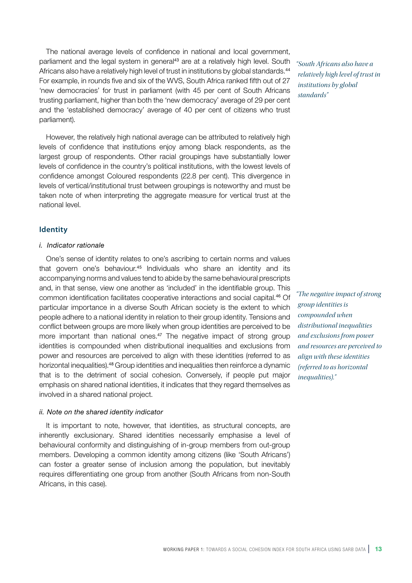The national average levels of confidence in national and local government, parliament and the legal system in general<sup>43</sup> are at a relatively high level. South Africans also have a relatively high level of trust in institutions by global standards.<sup>44</sup> For example, in rounds five and six of the WVS, South Africa ranked fifth out of 27 'new democracies' for trust in parliament (with 45 per cent of South Africans trusting parliament, higher than both the 'new democracy' average of 29 per cent and the 'established democracy' average of 40 per cent of citizens who trust parliament).

However, the relatively high national average can be attributed to relatively high levels of confidence that institutions enjoy among black respondents, as the largest group of respondents. Other racial groupings have substantially lower levels of confidence in the country's political institutions, with the lowest levels of confidence amongst Coloured respondents (22.8 per cent). This divergence in levels of vertical/institutional trust between groupings is noteworthy and must be taken note of when interpreting the aggregate measure for vertical trust at the national level.

#### **Identity**

#### *i. Indicator rationale*

One's sense of identity relates to one's ascribing to certain norms and values that govern one's behaviour.<sup>45</sup> Individuals who share an identity and its accompanying norms and values tend to abide by the same behavioural prescripts and, in that sense, view one another as 'included' in the identifiable group. This common identification facilitates cooperative interactions and social capital.46 Of particular importance in a diverse South African society is the extent to which people adhere to a national identity in relation to their group identity. Tensions and conflict between groups are more likely when group identities are perceived to be more important than national ones.<sup>47</sup> The negative impact of strong group identities is compounded when distributional inequalities and exclusions from power and resources are perceived to align with these identities (referred to as horizontal inequalities).48 Group identities and inequalities then reinforce a dynamic that is to the detriment of social cohesion. Conversely, if people put major emphasis on shared national identities, it indicates that they regard themselves as involved in a shared national project.

#### *ii. Note on the shared identity indicator*

It is important to note, however, that identities, as structural concepts, are inherently exclusionary. Shared identities necessarily emphasise a level of behavioural conformity and distinguishing of in-group members from out-group members. Developing a common identity among citizens (like 'South Africans') can foster a greater sense of inclusion among the population, but inevitably requires differentiating one group from another (South Africans from non-South Africans, in this case).

*"South Africans also have a relatively high level of trust in institutions by global standards"*

*"The negative impact of strong group identities is compounded when distributional inequalities and exclusions from power and resources are perceived to align with these identities (referred to as horizontal inequalities)."*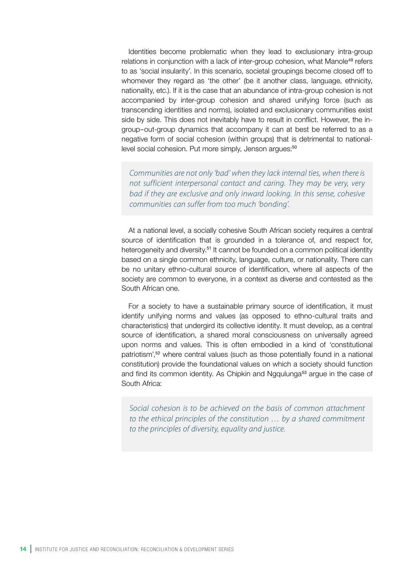Identities become problematic when they lead to exclusionary intra-group relations in conjunction with a lack of inter-group cohesion, what Manole<sup>49</sup> refers to as 'social insularity'. In this scenario, societal groupings become closed off to whomever they regard as 'the other' (be it another class, language, ethnicity, nationality, etc.). If it is the case that an abundance of intra-group cohesion is not accompanied by inter-group cohesion and shared unifying force (such as transcending identities and norms), isolated and exclusionary communities exist side by side. This does not inevitably have to result in conflict. However, the ingroup–out-group dynamics that accompany it can at best be referred to as a negative form of social cohesion (within groups) that is detrimental to nationallevel social cohesion. Put more simply, Jenson argues:<sup>50</sup>

*Communities are not only 'bad' when they lack internal ties, when there is not sufficient interpersonal contact and caring. They may be very, very bad if they are exclusive and only inward looking. In this sense, cohesive communities can suffer from too much 'bonding'.*

At a national level, a socially cohesive South African society requires a central source of identification that is grounded in a tolerance of, and respect for, heterogeneity and diversity.<sup>51</sup> It cannot be founded on a common political identity based on a single common ethnicity, language, culture, or nationality. There can be no unitary ethno-cultural source of identification, where all aspects of the society are common to everyone, in a context as diverse and contested as the South African one.

For a society to have a sustainable primary source of identification, it must identify unifying norms and values (as opposed to ethno-cultural traits and characteristics) that undergird its collective identity. It must develop, as a central source of identification, a shared moral consciousness on universally agreed upon norms and values. This is often embodied in a kind of 'constitutional patriotism',52 where central values (such as those potentially found in a national constitution) provide the foundational values on which a society should function and find its common identity. As Chipkin and Ngqulunga<sup>53</sup> argue in the case of South Africa:

*Social cohesion is to be achieved on the basis of common attachment to the ethical principles of the constitution … by a shared commitment to the principles of diversity, equality and justice.*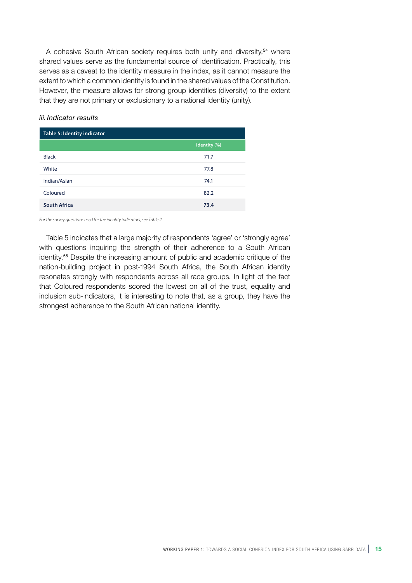A cohesive South African society requires both unity and diversity,<sup>54</sup> where shared values serve as the fundamental source of identification. Practically, this serves as a caveat to the identity measure in the index, as it cannot measure the extent to which a common identity is found in the shared values of the Constitution. However, the measure allows for strong group identities (diversity) to the extent that they are not primary or exclusionary to a national identity (unity).

#### *iii. Indicator results*

| Table 5: Identity indicator |              |
|-----------------------------|--------------|
|                             | Identity (%) |
| <b>Black</b>                | 71.7         |
| White                       | 77.8         |
| Indian/Asian                | 74.1         |
| Coloured                    | 82.2         |
| <b>South Africa</b>         | 73.4         |

*For the survey questions used for the identity indicators, see Table 2.*

Table 5 indicates that a large majority of respondents 'agree' or 'strongly agree' with questions inquiring the strength of their adherence to a South African identity.55 Despite the increasing amount of public and academic critique of the nation-building project in post-1994 South Africa, the South African identity resonates strongly with respondents across all race groups. In light of the fact that Coloured respondents scored the lowest on all of the trust, equality and inclusion sub-indicators, it is interesting to note that, as a group, they have the strongest adherence to the South African national identity.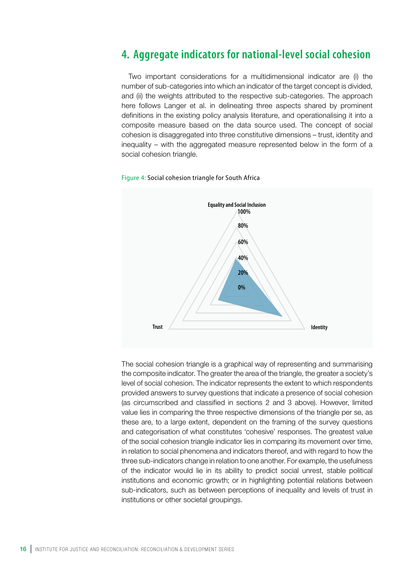## **4. Aggregate indicators for national-level social cohesion**

Two important considerations for a multidimensional indicator are (i) the number of sub-categories into which an indicator of the target concept is divided, and (ii) the weights attributed to the respective sub-categories. The approach here follows Langer et al. in delineating three aspects shared by prominent definitions in the existing policy analysis literature, and operationalising it into a composite measure based on the data source used. The concept of social cohesion is disaggregated into three constitutive dimensions – trust, identity and inequality – with the aggregated measure represented below in the form of a social cohesion triangle.





The social cohesion triangle is a graphical way of representing and summarising the composite indicator. The greater the area of the triangle, the greater a society's level of social cohesion. The indicator represents the extent to which respondents provided answers to survey questions that indicate a presence of social cohesion (as circumscribed and classified in sections 2 and 3 above). However, limited value lies in comparing the three respective dimensions of the triangle per se, as these are, to a large extent, dependent on the framing of the survey questions and categorisation of what constitutes 'cohesive' responses. The greatest value of the social cohesion triangle indicator lies in comparing its movement over time, in relation to social phenomena and indicators thereof, and with regard to how the three sub-indicators change in relation to one another. For example, the usefulness of the indicator would lie in its ability to predict social unrest, stable political institutions and economic growth; or in highlighting potential relations between sub-indicators, such as between perceptions of inequality and levels of trust in institutions or other societal groupings.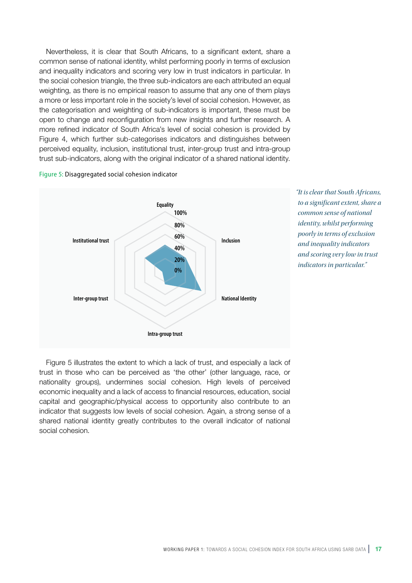Nevertheless, it is clear that South Africans, to a significant extent, share a common sense of national identity, whilst performing poorly in terms of exclusion and inequality indicators and scoring very low in trust indicators in particular. In the social cohesion triangle, the three sub-indicators are each attributed an equal weighting, as there is no empirical reason to assume that any one of them plays a more or less important role in the society's level of social cohesion. However, as the categorisation and weighting of sub-indicators is important, these must be open to change and reconfiguration from new insights and further research. A more refined indicator of South Africa's level of social cohesion is provided by Figure 4, which further sub-categorises indicators and distinguishes between perceived equality, inclusion, institutional trust, inter-group trust and intra-group trust sub-indicators, along with the original indicator of a shared national identity.

#### Figure 5: Disaggregated social cohesion indicator



*"It is clear that South Africans, to a significant extent, share a common sense of national identity, whilst performing poorly in terms of exclusion and inequality indicators and scoring very low in trust indicators in particular."*

Figure 5 illustrates the extent to which a lack of trust, and especially a lack of trust in those who can be perceived as 'the other' (other language, race, or nationality groups), undermines social cohesion. High levels of perceived economic inequality and a lack of access to financial resources, education, social capital and geographic/physical access to opportunity also contribute to an indicator that suggests low levels of social cohesion. Again, a strong sense of a shared national identity greatly contributes to the overall indicator of national social cohesion.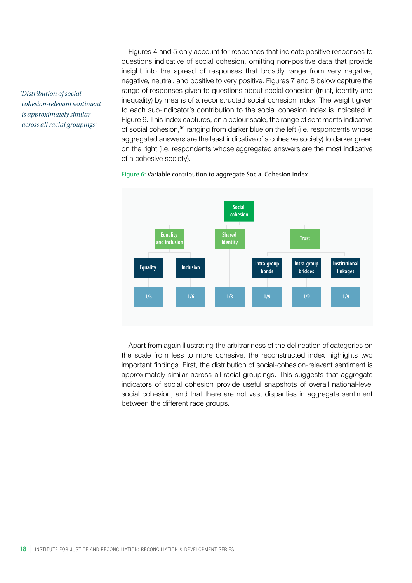*"Distribution of socialcohesion-relevant sentiment is approximately similar across all racial groupings"*

Figures 4 and 5 only account for responses that indicate positive responses to questions indicative of social cohesion, omitting non-positive data that provide insight into the spread of responses that broadly range from very negative, negative, neutral, and positive to very positive. Figures 7 and 8 below capture the range of responses given to questions about social cohesion (trust, identity and inequality) by means of a reconstructed social cohesion index. The weight given to each sub-indicator's contribution to the social cohesion index is indicated in Figure 6. This index captures, on a colour scale, the range of sentiments indicative of social cohesion,<sup>56</sup> ranging from darker blue on the left (i.e. respondents whose aggregated answers are the least indicative of a cohesive society) to darker green on the right (i.e. respondents whose aggregated answers are the most indicative of a cohesive society).



#### Figure 6: Variable contribution to aggregate Social Cohesion Index

Apart from again illustrating the arbitrariness of the delineation of categories on the scale from less to more cohesive, the reconstructed index highlights two important findings. First, the distribution of social-cohesion-relevant sentiment is approximately similar across all racial groupings. This suggests that aggregate indicators of social cohesion provide useful snapshots of overall national-level social cohesion, and that there are not vast disparities in aggregate sentiment between the different race groups.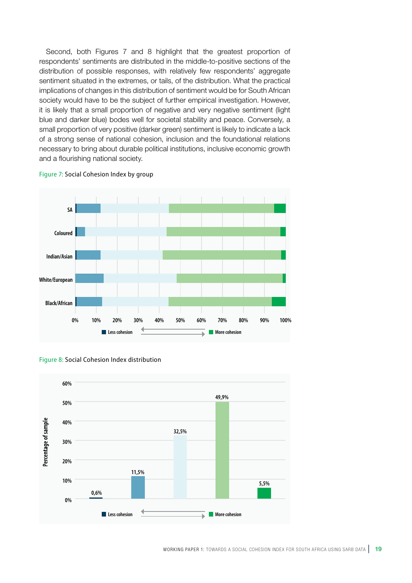Second, both Figures 7 and 8 highlight that the greatest proportion of respondents' sentiments are distributed in the middle-to-positive sections of the distribution of possible responses, with relatively few respondents' aggregate sentiment situated in the extremes, or tails, of the distribution. What the practical implications of changes in this distribution of sentiment would be for South African society would have to be the subject of further empirical investigation. However, it is likely that a small proportion of negative and very negative sentiment (light blue and darker blue) bodes well for societal stability and peace. Conversely, a small proportion of very positive (darker green) sentiment is likely to indicate a lack of a strong sense of national cohesion, inclusion and the foundational relations necessary to bring about durable political institutions, inclusive economic growth and a flourishing national society.



Figure 7: Social Cohesion Index by group



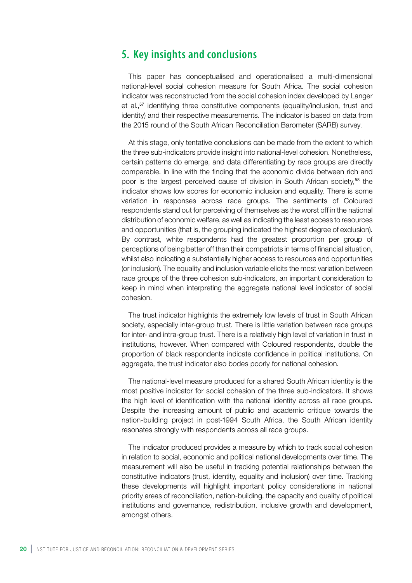## **5. Key insights and conclusions**

This paper has conceptualised and operationalised a multi-dimensional national-level social cohesion measure for South Africa. The social cohesion indicator was reconstructed from the social cohesion index developed by Langer et al.,57 identifying three constitutive components (equality/inclusion, trust and identity) and their respective measurements. The indicator is based on data from the 2015 round of the South African Reconciliation Barometer (SARB) survey.

At this stage, only tentative conclusions can be made from the extent to which the three sub-indicators provide insight into national-level cohesion. Nonetheless, certain patterns do emerge, and data differentiating by race groups are directly comparable. In line with the finding that the economic divide between rich and poor is the largest perceived cause of division in South African society,<sup>58</sup> the indicator shows low scores for economic inclusion and equality. There is some variation in responses across race groups. The sentiments of Coloured respondents stand out for perceiving of themselves as the worst off in the national distribution of economic welfare, as well as indicating the least access to resources and opportunities (that is, the grouping indicated the highest degree of exclusion). By contrast, white respondents had the greatest proportion per group of perceptions of being better off than their compatriots in terms of financial situation, whilst also indicating a substantially higher access to resources and opportunities (or inclusion). The equality and inclusion variable elicits the most variation between race groups of the three cohesion sub-indicators, an important consideration to keep in mind when interpreting the aggregate national level indicator of social cohesion.

The trust indicator highlights the extremely low levels of trust in South African society, especially inter-group trust. There is little variation between race groups for inter- and intra-group trust. There is a relatively high level of variation in trust in institutions, however. When compared with Coloured respondents, double the proportion of black respondents indicate confidence in political institutions. On aggregate, the trust indicator also bodes poorly for national cohesion.

The national-level measure produced for a shared South African identity is the most positive indicator for social cohesion of the three sub-indicators. It shows the high level of identification with the national identity across all race groups. Despite the increasing amount of public and academic critique towards the nation-building project in post-1994 South Africa, the South African identity resonates strongly with respondents across all race groups.

The indicator produced provides a measure by which to track social cohesion in relation to social, economic and political national developments over time. The measurement will also be useful in tracking potential relationships between the constitutive indicators (trust, identity, equality and inclusion) over time. Tracking these developments will highlight important policy considerations in national priority areas of reconciliation, nation-building, the capacity and quality of political institutions and governance, redistribution, inclusive growth and development, amongst others.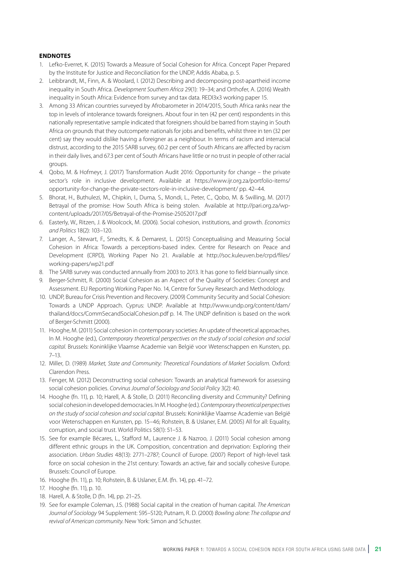#### **ENDNOTES**

- 1. Lefko-Everret, K. (2015) Towards a Measure of Social Cohesion for Africa. Concept Paper Prepared by the Institute for Justice and Reconciliation for the UNDP, Addis Ababa, p. 5.
- 2. Leibbrandt, M., Finn, A. & Woolard, I. (2012) Describing and decomposing post-apartheid income inequality in South Africa. *Development Southern Africa* 29(1): 19–34; and Orthofer, A. (2016) Wealth inequality in South Africa: Evidence from survey and tax data. REDI3x3 working paper 15.
- 3. Among 33 African countries surveyed by Afrobarometer in 2014/2015, South Africa ranks near the top in levels of intolerance towards foreigners. About four in ten (42 per cent) respondents in this nationally representative sample indicated that foreigners should be barred from staying in South Africa on grounds that they outcompete nationals for jobs and benefits, whilst three in ten (32 per cent) say they would dislike having a foreigner as a neighbour. In terms of racism and interracial distrust, according to the 2015 SARB survey, 60.2 per cent of South Africans are affected by racism in their daily lives, and 67.3 per cent of South Africans have little or no trust in people of other racial groups.
- 4. Qobo, M. & Hofmeyr, J. (2017) Transformation Audit 2016: Opportunity for change the private sector's role in inclusive development. Available at https://www.ijr.org.za/portfolio-items/ opportunity-for-change-the-private-sectors-role-in-inclusive-development/ pp. 42–44.
- 5. Bhorat, H., Buthulezi, M., Chipkin, I., Duma, S., Mondi, L., Peter, C., Qobo, M. & Swilling, M. (2017) Betrayal of the promise: How South Africa is being stolen. Available at http://pari.org.za/wpcontent/uploads/2017/05/Betrayal-of-the-Promise-25052017.pdf
- 6. Easterly, W., Ritzen, J. & Woolcock, M. (2006). Social cohesion, institutions, and growth. *Economics and Politics* 18(2): 103–120.
- 7. Langer, A., Stewart, F., Smedts, K. & Demarest, L. (2015) Conceptualising and Measuring Social Cohesion in Africa: Towards a perceptions-based index. Centre for Research on Peace and Development (CRPD), Working Paper No 21. Available at http://soc.kuleuven.be/crpd/files/ working-papers/wp21.pdf
- 8. The SARB survey was conducted annually from 2003 to 2013. It has gone to field biannually since.
- 9. Berger-Schmitt, R. (2000) Social Cohesion as an Aspect of the Quality of Societies: Concept and Assessment. EU Reporting Working Paper No. 14, Centre for Survey Research and Methodology.
- 10. UNDP, Bureau for Crisis Prevention and Recovery. (2009) Community Security and Social Cohesion: Towards a UNDP Approach. Cyprus: UNDP. Available at http://www.undp.org/content/dam/ thailand/docs/CommSecandSocialCohesion.pdf p. 14. The UNDP definition is based on the work of Berger-Schmitt (2000).
- 11. Hooghe, M. (2011) Social cohesion in contemporary societies: An update of theoretical approaches. In M. Hooghe (ed.), *Contemporary theoretical perspectives on the study of social cohesion and social capital*. Brussels: Koninklijke Vlaamse Academie van België voor Wetenschappen en Kunsten, pp. 7–13.
- 12. Miller, D. (1989) *Market, State and Community: Theoretical Foundations of Market Socialism*. Oxford: Clarendon Press.
- 13. Fenger, M. (2012) Deconstructing social cohesion: Towards an analytical framework for assessing social cohesion policies. *Corvinus Journal of Sociology and Social Policy* 3(2): 40.
- 14. Hooghe (fn. 11), p. 10; Harell, A. & Stolle, D. (2011) Reconciling diversity and Ccmmunity? Defining social cohesion in developed democracies. In M. Hooghe (ed.). *Contemporary theoretical perspectives on the study of social cohesion and social capital*. Brussels: Koninklijke Vlaamse Academie van België voor Wetenschappen en Kunsten, pp. 15–46; Rohstein, B. & Uslaner, E.M. (2005) All for all: Equality, corruption, and social trust. World Politics 58(1): 51–53.
- 15. See for example Bécares, L., Stafford M., Laurence J. & Nazroo, J. (2011) Social cohesion among different ethnic groups in the UK. Composition, concentration and deprivation: Exploring their association. *Urban Studies* 48(13): 2771–2787; Council of Europe. (2007) Report of high-level task force on social cohesion in the 21st century: Towards an active, fair and socially cohesive Europe. Brussels: Council of Europe.
- 16. Hooghe (fn. 11), p. 10; Rohstein, B. & Uslaner, E.M. (fn. 14), pp. 41–72.
- 17. Hooghe (fn. 11), p. 10.
- 18. Harell, A. & Stolle, D (fn. 14), pp. 21–25.
- 19. See for example Coleman, J.S. (1988) Social capital in the creation of human capital. *The American Journal of Sociology* 94 Supplement: S95–S120; Putnam, R. D. (2000) *Bowling alone: The collapse and revival of American community*. New York: Simon and Schuster.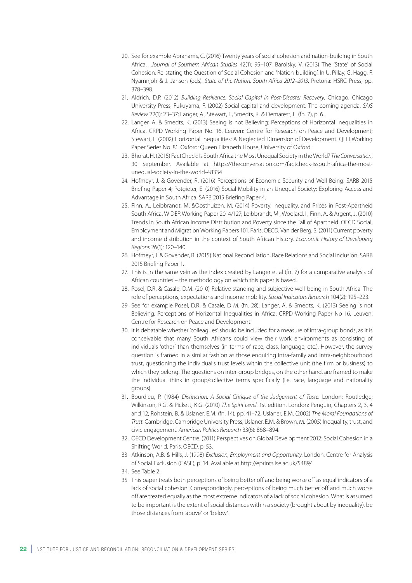- 20. See for example Abrahams, C. (2016) Twenty years of social cohesion and nation-building in South Africa. *Journal of Southern African Studies* 42(1): 95–107; Barolsky, V. (2013) The 'State' of Social Cohesion: Re-stating the Question of Social Cohesion and 'Nation-building'. In U. Pillay, G. Hagg, F. Nyamnjoh & J. Janson (eds). *State of the Nation: South Africa 2012–2013*. Pretoria: HSRC Press, pp. 378–398.
- 21. Aldrich, D.P. (2012) *Building Resilience: Social Capital in Post-Disaster Recovery*. Chicago: Chicago University Press; Fukuyama, F. (2002) Social capital and development: The coming agenda. *SAIS Review* 22(1): 23–37; Langer, A., Stewart, F., Smedts, K. & Demarest, L. (fn. 7), p. 6.
- 22. Langer, A. & Smedts, K. (2013) Seeing is not Believing: Perceptions of Horizontal Inequalities in Africa. CRPD Working Paper No. 16. Leuven: Centre for Research on Peace and Development; Stewart, F. (2002) Horizontal Inequalities: A Neglected Dimension of Development. QEH Working Paper Series No. 81. Oxford: Queen Elizabeth House, University of Oxford.
- 23. Bhorat, H. (2015) FactCheck: Is South Africa the Most Unequal Society in the World? *The Conversation*, 30 September. Available at https://theconversation.com/factcheck-issouth-africa-the-mostunequal-society-in-the-world-48334
- 24. Hofmeyr, J. & Govender, R. (2016) Perceptions of Economic Security and Well-Being. SARB 2015 Briefing Paper 4; Potgieter, E. (2016) Social Mobility in an Unequal Society: Exploring Access and Advantage in South Africa. SARB 2015 Briefing Paper 4.
- 25. Finn, A., Leibbrandt, M. &Oosthuizen, M. (2014) Poverty, Inequality, and Prices in Post-Apartheid South Africa. WIDER Working Paper 2014/127; Leibbrandt, M., Woolard, I., Finn, A. & Argent, J. (2010) Trends in South African Income Distribution and Poverty since the Fall of Apartheid. OECD Social, Employment and Migration Working Papers 101. Paris: OECD; Van der Berg, S. (2011) Current poverty and income distribution in the context of South African history. *Economic History of Developing Regions* 26(1): 120–140.
- 26. Hofmeyr, J. & Govender, R. (2015) National Reconciliation, Race Relations and Social Inclusion. SARB 2015 Briefing Paper 1.
- 27. This is in the same vein as the index created by Langer et al (fn. 7) for a comparative analysis of African countries – the methodology on which this paper is based.
- 28. Posel, D.R. & Casale, D.M. (2010) Relative standing and subjective well-being in South Africa: The role of perceptions, expectations and income mobility. *Social Indicators Research* 104(2): 195–223.
- 29. See for example Posel, D.R. & Casale, D M. (fn. 28); Langer, A. & Smedts, K. (2013) Seeing is not Believing: Perceptions of Horizontal Inequalities in Africa. CRPD Working Paper No 16. Leuven: Centre for Research on Peace and Development.
- 30. It is debatable whether 'colleagues' should be included for a measure of intra-group bonds, as it is conceivable that many South Africans could view their work environments as consisting of individuals 'other' than themselves (in terms of race, class, language, etc.). However, the survey question is framed in a similar fashion as those enquiring intra-family and intra-neighbourhood trust, questioning the individual's trust levels within the collective unit (the firm or business) to which they belong. The questions on inter-group bridges, on the other hand, are framed to make the individual think in group/collective terms specifically (i.e. race, language and nationality groups).
- 31. Bourdieu, P. (1984) *Distinction: A Social Critique of the Judgement of Taste*. London: Routledge; Wilkinson, R.G. & Pickett, K.G. (2010) *The Spirit Level*. 1st edition. London: Penguin, Chapters 2, 3, 4 and 12; Rohstein, B. & Uslaner, E.M. (fn. 14), pp. 41–72; Uslaner, E.M. (2002) *The Moral Foundations of Trust*. Cambridge: Cambridge University Press; Uslaner, E.M. & Brown, M. (2005) Inequality, trust, and civic engagement. *American Politics Research* 33(6): 868–894.
- 32. OECD Development Centre. (2011) Perspectives on Global Development 2012: Social Cohesion in a Shifting World. Paris: OECD, p. 53.
- 33. Atkinson, A.B. & Hills, J. (1998) *Exclusion, Employment and Opportunity*. London: Centre for Analysis of Social Exclusion (CASE), p. 14. Available at http://eprints.lse.ac.uk/5489/
- 34. See Table 2.
- 35. This paper treats both perceptions of being better off and being worse off as equal indicators of a lack of social cohesion. Correspondingly, perceptions of being much better off and much worse off are treated equally as the most extreme indicators of a lack of social cohesion. What is assumed to be important is the extent of social distances within a society (brought about by inequality), be those distances from 'above' or 'below'.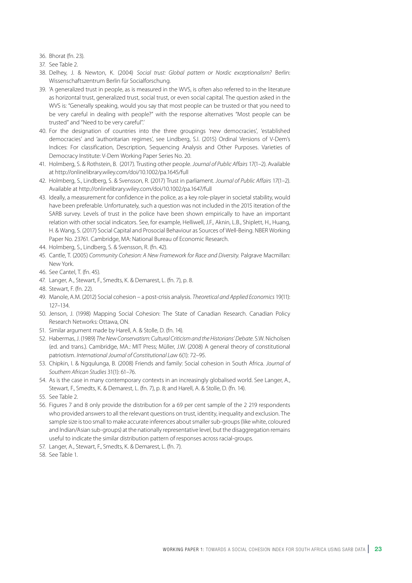36. Bhorat (fn. 23).

37. See Table 2.

- 38. Delhey, J. & Newton, K. (2004) *Social trust: Global pattern or Nordic exceptionalism?* Berlin: Wissenschaftszentrum Berlin für Socialforschung.
- 39. 'A generalized trust in people, as is measured in the WVS, is often also referred to in the literature as horizontal trust, generalized trust, social trust, or even social capital. The question asked in the WVS is: "Generally speaking, would you say that most people can be trusted or that you need to be very careful in dealing with people?" with the response alternatives "Most people can be trusted" and "Need to be very careful".'
- 40. For the designation of countries into the three groupings 'new democracies', 'established democracies' and 'authoritarian regimes', see Lindberg, S.I. (2015) Ordinal Versions of V‐Dem's Indices: For classification, Description, Sequencing Analysis and Other Purposes. Varieties of Democracy Institute: V‐Dem Working Paper Series No. 20.
- 41. Holmberg, S. & Rothstein, B. (2017). Trusting other people. *Journal of Public Affairs* 17(1–2). Available at http://onlinelibrary.wiley.com/doi/10.1002/pa.1645/full
- 42. Holmberg, S., Lindberg, S. & Svensson, R. (2017) Trust in parliament. *Journal of Public Affairs* 17(1–2). Available at http://onlinelibrary.wiley.com/doi/10.1002/pa.1647/full
- 43. Ideally, a measurement for confidence in the police, as a key role-player in societal stability, would have been preferable. Unfortunately, such a question was not included in the 2015 iteration of the SARB survey. Levels of trust in the police have been shown empirically to have an important relation with other social indicators. See, for example, Helliwell, J.F., Aknin, L.B., Shiplett, H., Huang, H. & Wang, S. (2017) Social Capital and Prosocial Behaviour as Sources of Well-Being. NBER Working Paper No. 23761. Cambridge, MA: National Bureau of Economic Research.
- 44. Holmberg, S., Lindberg, S. & Svensson, R. (fn. 42).
- 45. Cantle, T. (2005) *Community Cohesion: A New Framework for Race and Diversity.* Palgrave Macmillan: New York.
- 46. See Cantel, T. (fn. 45).
- 47. Langer, A., Stewart, F., Smedts, K. & Demarest, L. (fn. 7), p. 8.
- 48. Stewart, F. (fn. 22).
- 49. Manole, A.M. (2012) Social cohesion a post-crisis analysis. *Theoretical and Applied Economics* 19(11): 127–134.
- 50. Jenson, J. (1998) Mapping Social Cohesion: The State of Canadian Research. Canadian Policy Research Networks: Ottawa, ON.
- 51. Similar argument made by Harell, A. & Stolle, D. (fn. 14).
- 52. Habermas, J. (1989) *The New Conservatism: Cultural Criticism and the Historians' Debate*. S.W. Nicholsen (ed. and trans.). Cambridge, MA.: MIT Press; Müller, J.W. (2008) A general theory of constitutional patriotism. *International Journal of Constitutional Law* 6(1): 72–95.
- 53. Chipkin, I. & Ngqulunga, B. (2008) Friends and family: Social cohesion in South Africa. *Journal of Southern African Studies* 31(1): 61–76.
- 54. As is the case in many contemporary contexts in an increasingly globalised world. See Langer, A., Stewart, F., Smedts, K. & Demarest, L. (fn. 7), p. 8; and Harell, A. & Stolle, D. (fn. 14).
- 55. See Table 2.
- 56. Figures 7 and 8 only provide the distribution for a 69 per cent sample of the 2 219 respondents who provided answers to all the relevant questions on trust, identity, inequality and exclusion. The sample size is too small to make accurate inferences about smaller sub-groups (like white, coloured and Indian/Asian sub-groups) at the nationally representative level, but the disaggregation remains useful to indicate the similar distribution pattern of responses across racial-groups.
- 57. Langer, A., Stewart, F., Smedts, K. & Demarest, L. (fn. 7).
- 58. See Table 1.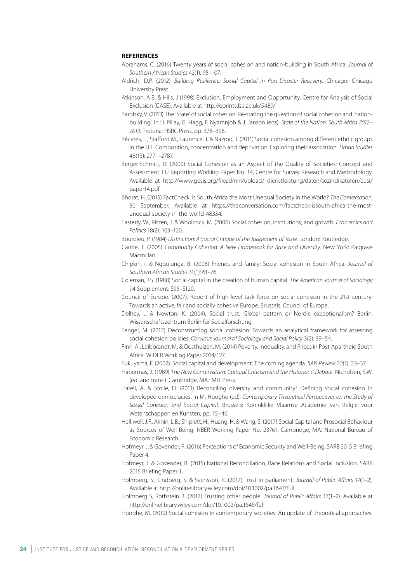#### **REFERENCES**

- Abrahams, C. (2016) Twenty years of social cohesion and nation-building in South Africa. *Journal of Southern African Studies* 42(1): 95–107.
- Aldrich, D.P. (2012) *Building Resilience: Social Capital in Post-Disaster Recovery*. Chicago: Chicago University Press.
- Atkinson, A.B. & Hills, J (1998) Exclusion, Employment and Opportunity. Centre for Analysis of Social Exclusion (CASE). Available at http://eprints.lse.ac.uk/5489/
- Barolsky, V. (2013) The 'State' of social cohesion: Re-stating the question of social cohesion and 'nationbuilding'. In U. Pillay, G. Hagg, F. Nyamnjoh & J. Janson (eds). *State of the Nation: South Africa 2012– 2013*. Pretoria: HSRC Press, pp. 378–398.
- Bécares, L., Stafford M., Laurence, J. & Nazroo, J. (2011) Social cohesion among different ethnic groups in the UK. Composition, concentration and deprivation: Exploring their association. *Urban Studies* 48(13): 2771–2787.
- Berger-Schmitt, R. (2000) Social Cohesion as an Aspect of the Quality of Societies: Concept and Assessment. EU Reporting Working Paper No. 14, Centre for Survey Research and Methodology. Available at http://www.gesis.org/fileadmin/upload/ dienstleistung/daten/sozindikatoren/eusi/ paper14.pdf
- Bhorat, H. (2015) FactCheck: Is South Africa the Most Unequal Society in the World? *The Conversation*, 30 September. Available at https://theconversation.com/factcheck-issouth-africa-the-mostunequal-society-in-the-world-48334.
- Easterly, W., Ritzen, J. & Woolcock, M. (2006) Social cohesion, institutions, and growth. *Economics and Politics* 18(2): 103–120.
- Bourdieu, P. (1984) *Distinction: A Social Critique of the Judgement of Taste*. London: Routledge.
- Cantle, T. (2005) *Community Cohesion: A New Framework for Race and Diversity*. New York: Palgrave Macmillan.
- Chipkin, I. & Ngqulunga, B. (2008) Friends and family: Social cohesion in South Africa. *Journal of Southern African Studies* 31(1): 61–76.
- Coleman, J.S. (1988) Social capital in the creation of human capital. *The American Journal of Sociology* 94 Supplement: S95–S120.
- Council of Europe. (2007). Report of high-level task force on social cohesion in the 21st century: Towards an active, fair and socially cohesive Europe. Brussels: Council of Europe.
- Delhey, J. & Newton, K. (2004). Social trust: Global pattern or Nordic exceptionalism? Berlin: Wissenschaftszentrum Berlin für Socialforschung.
- Fenger, M. (2012) Deconstructing social cohesion: Towards an analytical framework for assessing social cohesion policies. *Corvinus Journal of Sociology and Social Policy* 3(2): 39–54.
- Finn, A., Leibbrandt, M. & Oosthuizen, M. (2014) Poverty, Inequality, and Prices in Post-Apartheid South Africa. WIDER Working Paper 2014/127.
- Fukuyama, F. (2002). Social capital and development: The coming agenda. *SAIS Review* 22(1): 23–37.
- Habermas, J. (1989) *The New Conservatism: Cultural Criticism and the Historians' Debate*. Nicholsen, S.W. (ed. and trans.). Cambridge, MA.: MIT Press.
- Harell, A. & Stolle, D. (2011) Reconciling diversity and community? Defining social cohesion in developed democracies. In M. Hooghe (ed). *Contemporary Theoretical Perspectives on the Study of Social Cohesion and Social Capital*. Brussels: Koninklijke Vlaamse Academie van België voor Wetenschappen en Kunsten, pp. 15–46.
- Helliwell, J.F., Aknin, L.B., Shiplett, H., Huang, H. & Wang, S. (2017) Social Capital and Prosocial Behaviour as Sources of Well-Being. NBER Working Paper No. 23761. Cambridge, MA: National Bureau of Economic Research.
- Hofmeyr, J. & Govender, R. (2016) Perceptions of Economic Security and Well-Being. SARB 2015 Briefing Paper 4.
- Hofmeyr, J. & Govender, R. (2015) National Reconciliation, Race Relations and Social Inclusion. SARB 2015 Briefing Paper 1.
- Holmberg, S., Lindberg, S. & Svensson, R. (2017) Trust in parliament. *Journal of Public Affairs* 17(1–2). Available at http://onlinelibrary.wiley.com/doi/10.1002/pa.1647/full
- Holmberg S, Rothstein B. (2017) Trusting other people. *Journal of Public Affairs* 17(1–2). Available at http://onlinelibrary.wiley.com/doi/10.1002/pa.1645/full
- Hooghe, M. (2012) Social cohesion in contemporary societies: An update of theoretical approaches.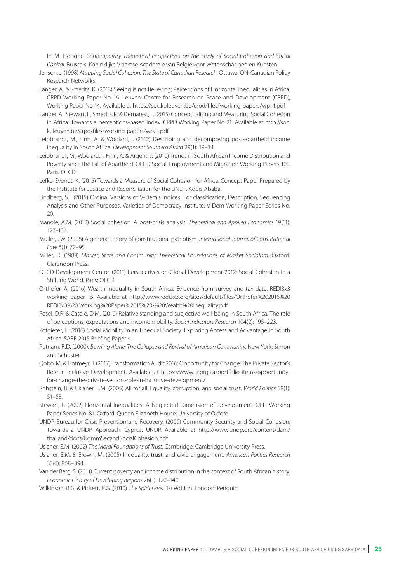In M. Hooghe *Contemporary Theoretical Perspectives on the Study of Social Cohesion and Social Capital*. Brussels: Koninklijke Vlaamse Academie van België voor Wetenschappen en Kunsten.

- Jenson, J. (1998) *Mapping Social Cohesion: The State of Canadian Research*. Ottawa, ON: Canadian Policy Research Networks.
- Langer, A. & Smedts, K. (2013) Seeing is not Believing: Perceptions of Horizontal Inequalities in Africa. CRPD Working Paper No 16. Leuven: Centre for Research on Peace and Development (CRPD), Working Paper No 14. Available at https://soc.kuleuven.be/crpd/files/working-papers/wp14.pdf
- Langer, A., Stewart, F., Smedts, K. & Demarest, L. (2015) Conceptualising and Measuring Social Cohesion in Africa: Towards a perceptions-based index. CRPD Working Paper No 21. Available at http://soc. kuleuven.be/crpd/files/working-papers/wp21.pdf
- Leibbrandt, M., Finn, A. & Woolard, I. (2012) Describing and decomposing post-apartheid income inequality in South Africa. *Development Southern Africa* 29(1): 19–34.
- Leibbrandt, M., Woolard, I., Finn, A. & Argent, J. (2010) Trends in South African Income Distribution and Poverty since the Fall of Apartheid. OECD Social, Employment and Migration Working Papers 101. Paris: OECD.
- Lefko-Everret, K. (2015) Towards a Measure of Social Cohesion for Africa. Concept Paper Prepared by the Institute for Justice and Reconciliation for the UNDP, Addis Ababa.
- Lindberg, S.I. (2015) Ordinal Versions of V‐Dem's Indices: For classification, Description, Sequencing Analysis and Other Purposes. Varieties of Democracy Institute: V‐Dem Working Paper Series No. 20.
- Manole, A.M. (2012) Social cohesion: A post-crisis analysis. *Theoretical and Applied Economics* 19(11): 127–134.
- Müller, J.W. (2008) A general theory of constitutional patriotism. *International Journal of Constitutional Law* 6(1): 72–95.
- Miller, D. (1989) *Market, State and Community: Theoretical Foundations of Market Socialism*. Oxford: Clarendon Press.
- OECD Development Centre. (2011) Perspectives on Global Development 2012: Social Cohesion in a Shifting World. Paris: OECD.
- Orthofer, A. (2016) Wealth inequality in South Africa: Evidence from survey and tax data. REDI3x3 working paper 15. Available at http://www.redi3x3.org/sites/default/files/Orthofer%202016%20 REDI3x3%20 Working%20Paper%2015%20-%20Wealth%20inequality.pdf
- Posel, D.R. & Casale, D.M. (2010) Relative standing and subjective well-being in South Africa: The role of perceptions, expectations and income mobility. *Social Indicators Research* 104(2): 195–223.
- Potgieter, E. (2016) Social Mobility in an Unequal Society: Exploring Access and Advantage in South Africa. SARB 2015 Briefing Paper 4.
- Putnam, R.D. (2000). *Bowling Alone: The Collapse and Revival of American Community*. New York: Simon and Schuster.
- Qobo, M. & Hofmeyr, J. (2017) Transformation Audit 2016: Opportunity for Change: The Private Sector's Role in Inclusive Development. Available at https://www.ijr.org.za/portfolio-items/opportunityfor-change-the-private-sectors-role-in-inclusive-development/
- Rohstein, B. & Uslaner, E.M. (2005) All for all: Equality, corruption, and social trust. *World Politics* 58(1): 51–53.
- Stewart, F. (2002) Horizontal Inequalities: A Neglected Dimension of Development. QEH Working Paper Series No. 81. Oxford: Queen Elizabeth House, University of Oxford.
- UNDP, Bureau for Crisis Prevention and Recovery. (2009) Community Security and Social Cohesion: Towards a UNDP Approach. Cyprus: UNDP. Available at http://www.undp.org/content/dam/ thailand/docs/CommSecandSocialCohesion.pdf
- Uslaner, E.M. (2002) *The Moral Foundations of Trust*. Cambridge: Cambridge University Press.
- Uslaner, E.M. & Brown, M. (2005) Inequality, trust, and civic engagement. *American Politics Research* 33(6): 868–894.
- Van der Berg, S. (2011) Current poverty and income distribution in the context of South African history. *Economic History of Developing Regions* 26(1): 120–140.
- Wilkinson, R.G. & Pickett, K.G. (2010) *The Spirit Level*. 1st edition. London: Penguin.